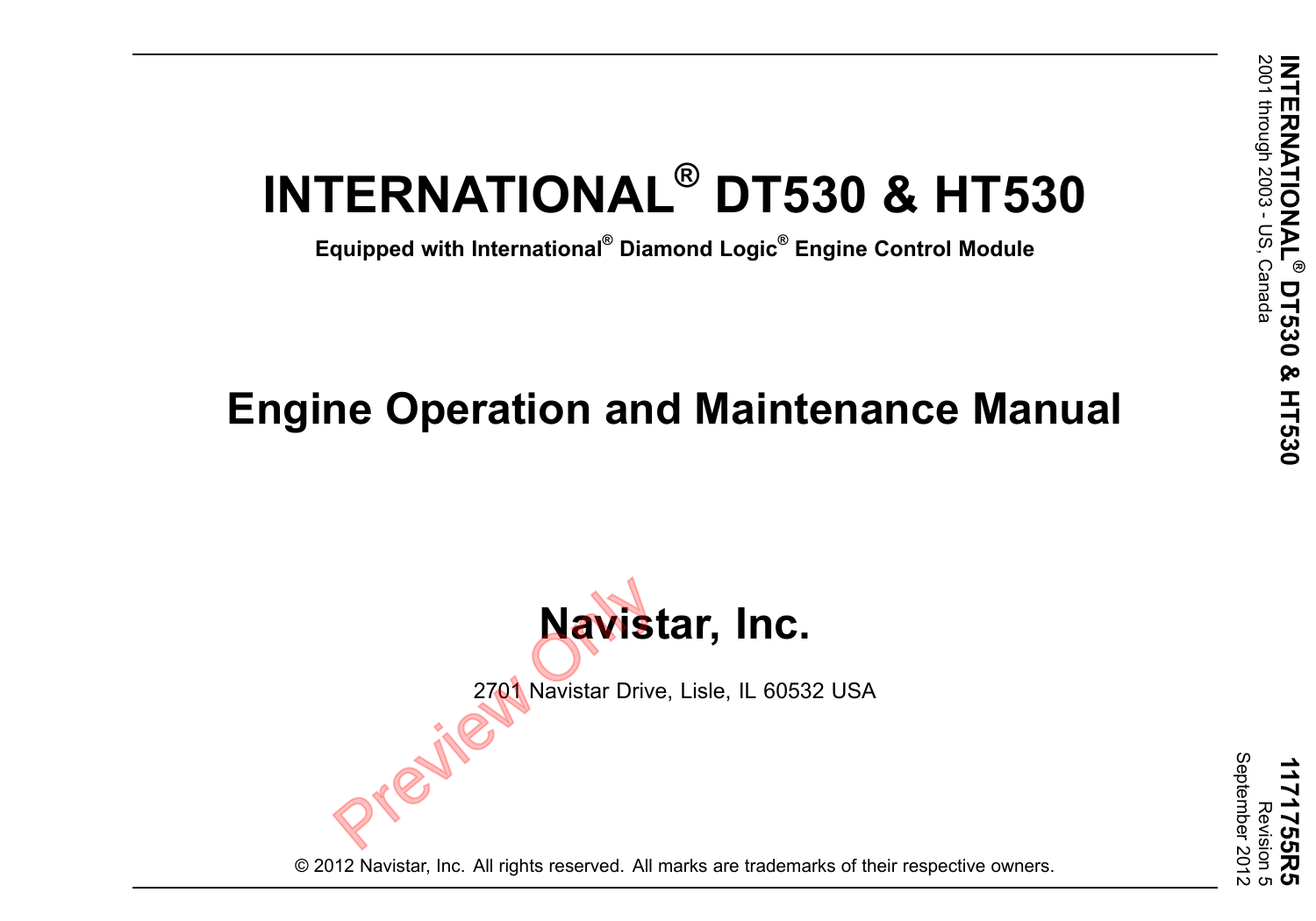# **INTERNATIONAL ® DT530 & HT530**

**Equipped with International ® Diamond Logic ® Engine Control Module**

# **Engine Operation and Maintenance Manual**



2701 Navistar Drive, Lisle, IL 60532 USA

**1171755R5** Revision ) ເກ September 2012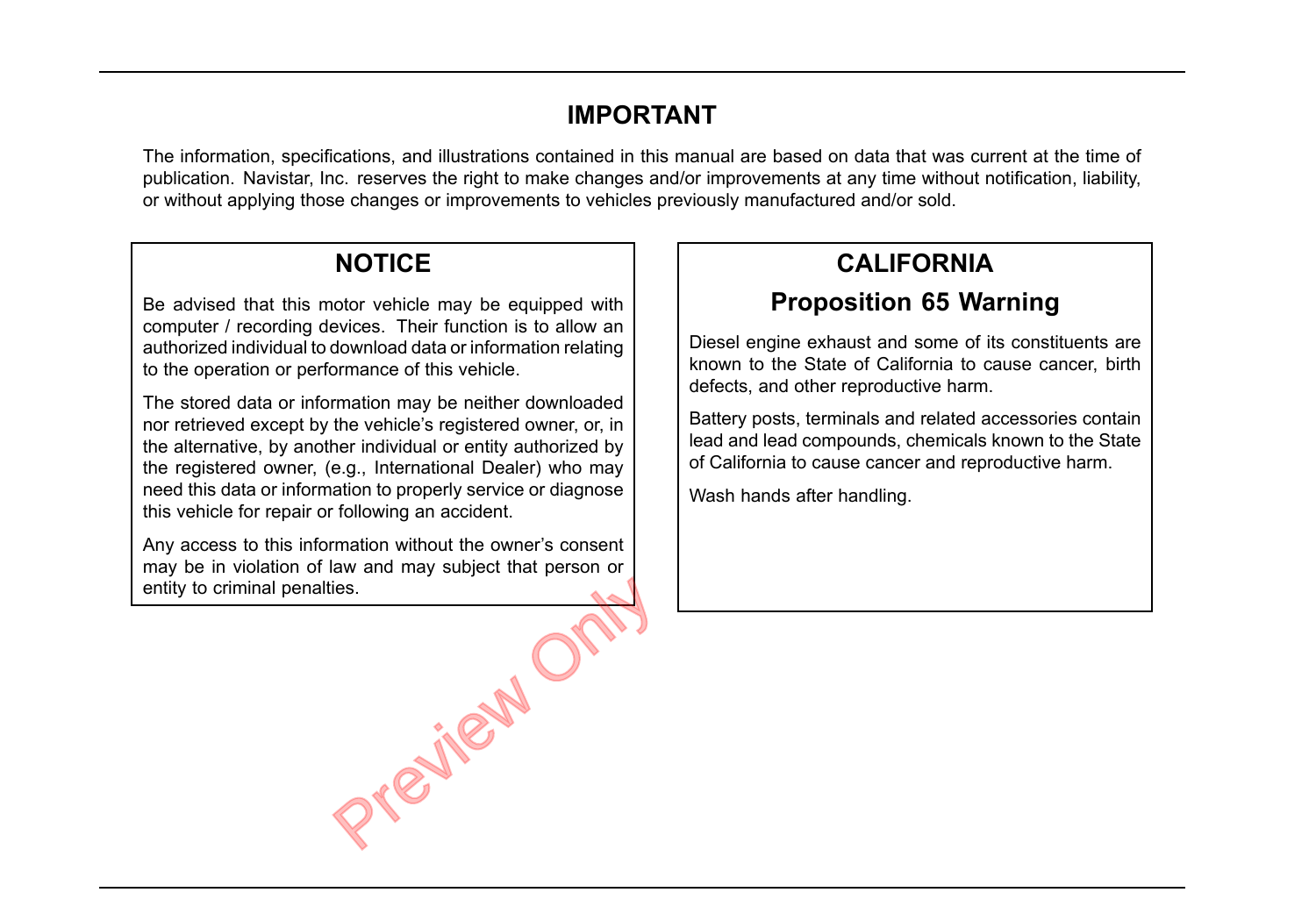## **IMPORTANT**

The information, specifications, and illustrations contained in this manual are based on data that was current at the time of publication. Navistar, Inc. reserves the right to make changes and/or improvements at any time without notification, liability, or without applying those changes or improvements to vehicles previously manufactured and/or sold.

## **NOTICE**

Be advised that this motor vehicle may be equipped with computer / recording devices. Their function is to allow an authorized individual to download data or information relating to the operation or performance of this vehicle.

The stored data or information may be neither downloaded nor retrieved except by the vehicle's registered owner, or, in the alternative, by another individual or entity authorized by the registered owner, (e.g., International Dealer) who may need this data or information to properly service or diagnose this vehicle for repair or following an accident.

Any access to this information without the owner's consent may be in violation of law and may subject that person or entity to criminal penalties.

Orleifew C

# **CALIFORNIA**

# **Proposition 65 Warning**

Diesel engine exhaust and some of its constituents are known to the State of California to cause cancer, birth defects, and other reproductive harm.

Battery posts, terminals and related accessories contain lead and lead compounds, chemicals known to the State of California to cause cancer and reproductive harm.

Wash hands after handling.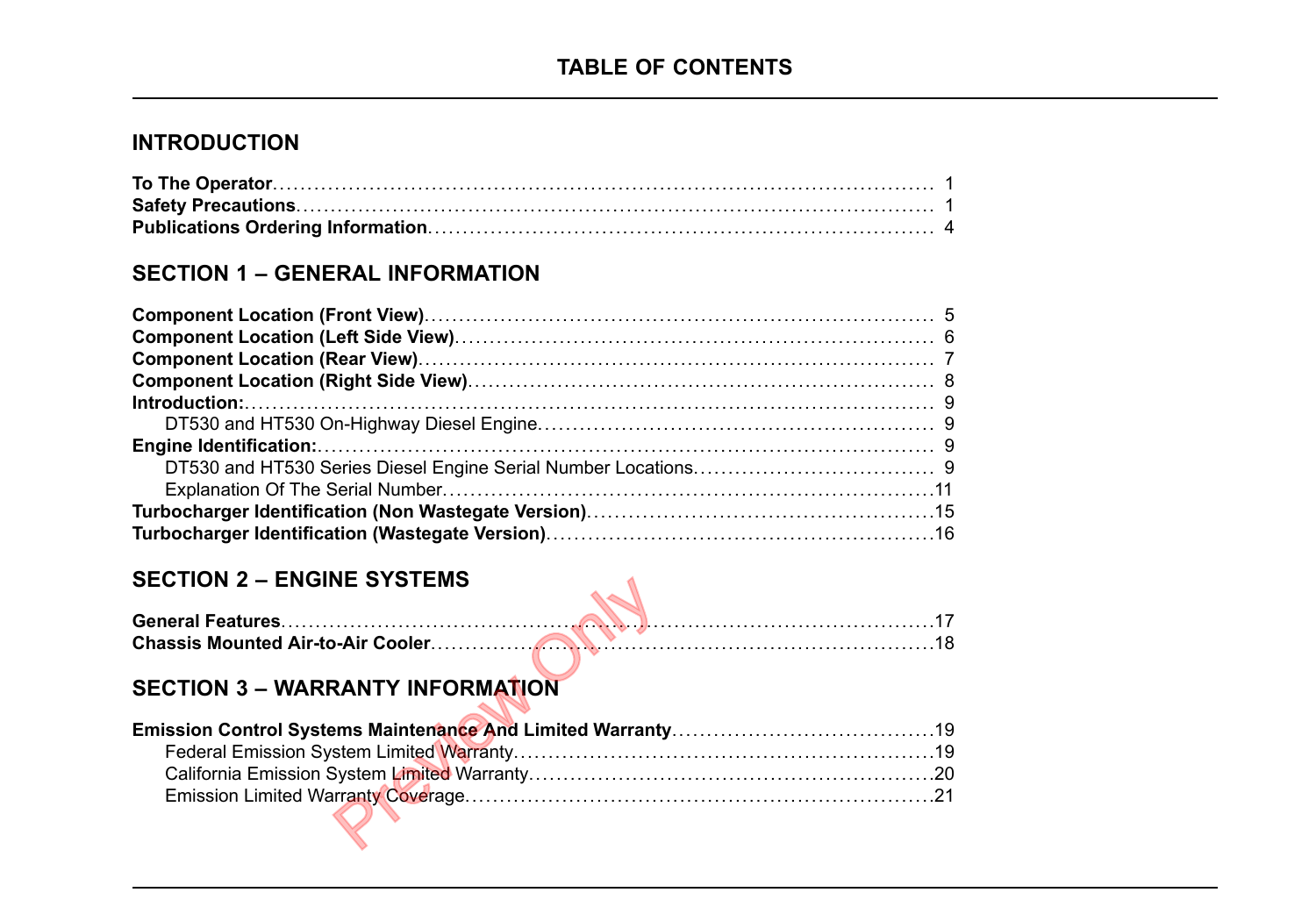#### **INTRODUCTION**

#### **SECTION 1 – GENERAL INFORMATION**

#### **SECTION 2 – ENGINE SYSTEMS**

#### **SECTION 3 – WARRANTY INFORMATION**

| $SECIION Z = ENGINE STSI EMS$           |  |
|-----------------------------------------|--|
|                                         |  |
|                                         |  |
| <b>SECTION 3 - WARRANTY INFORMATION</b> |  |
|                                         |  |
|                                         |  |
|                                         |  |
|                                         |  |
|                                         |  |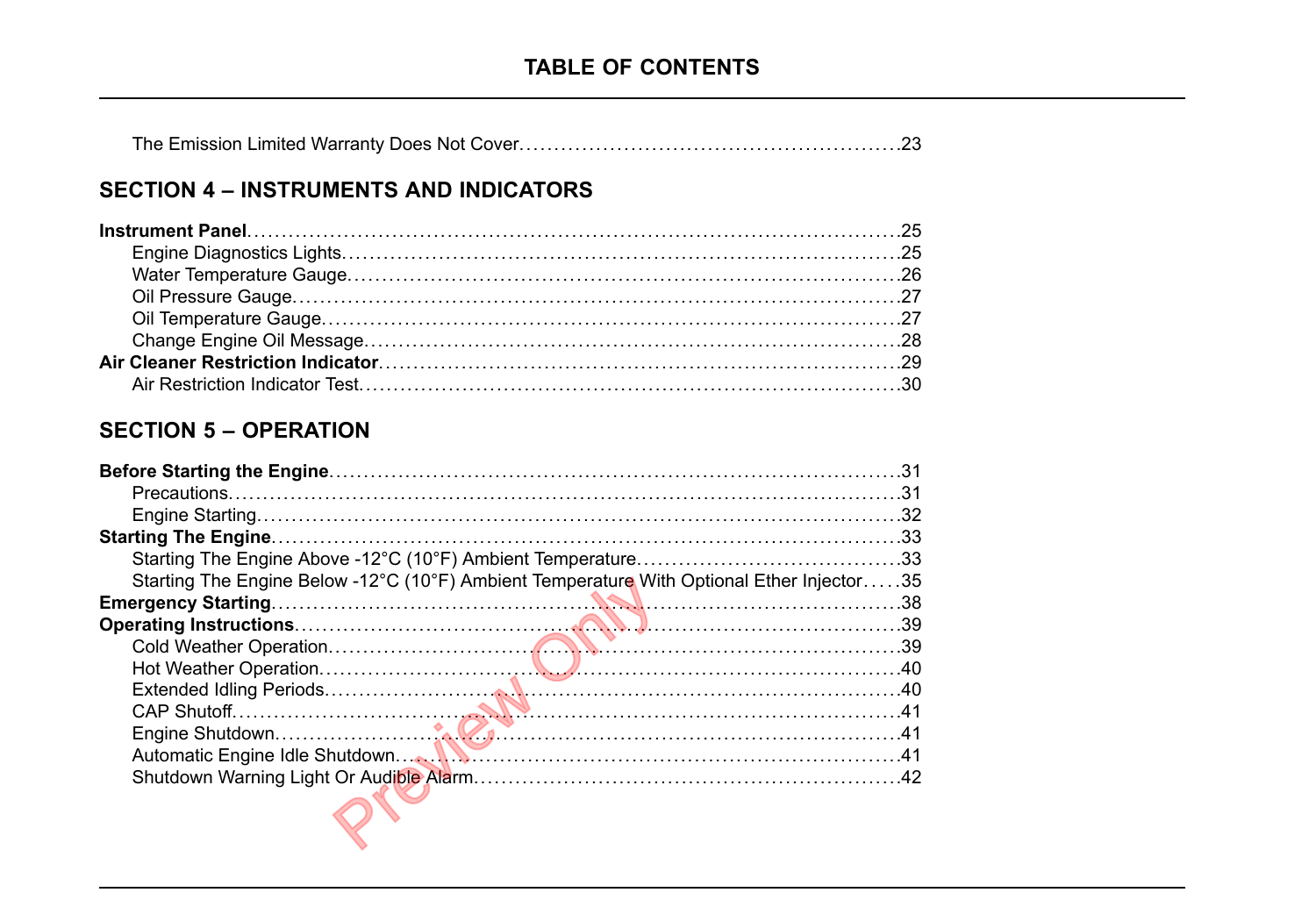|--|--|

#### **SECTION 4 - INSTRUMENTS AND INDICATORS**

#### **SECTION 5 - OPERATION**

| Starting The Engine Below -12°C (10°F) Ambient Temperature With Optional Ether Injector35 |  |
|-------------------------------------------------------------------------------------------|--|
|                                                                                           |  |
|                                                                                           |  |
|                                                                                           |  |
|                                                                                           |  |
|                                                                                           |  |
|                                                                                           |  |
|                                                                                           |  |
|                                                                                           |  |
|                                                                                           |  |
|                                                                                           |  |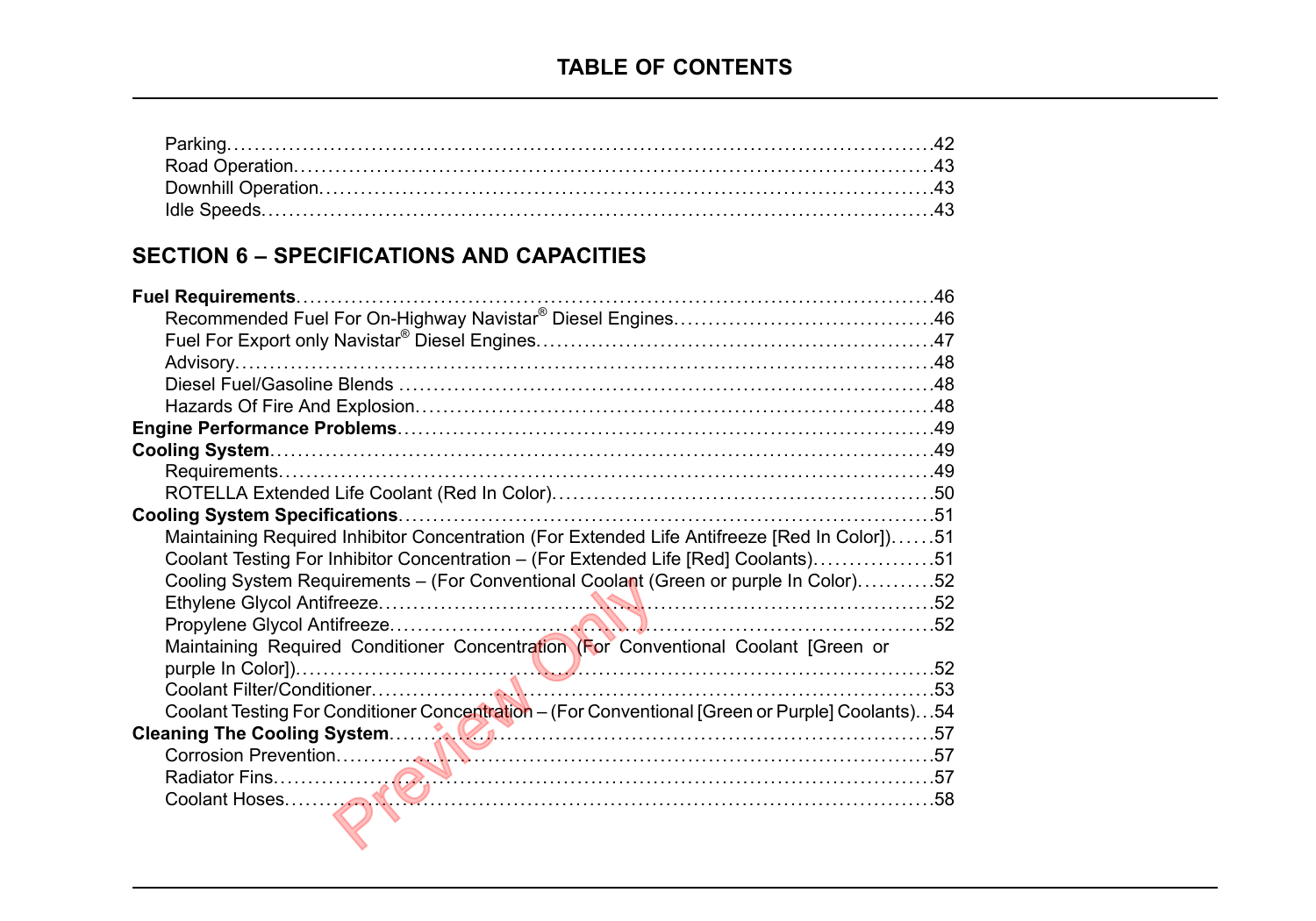#### **SECTION 6 – SPECIFICATIONS AND CAPACITIES**

| Maintaining Required Inhibitor Concentration (For Extended Life Antifreeze [Red In Color])51    |  |
|-------------------------------------------------------------------------------------------------|--|
| Coolant Testing For Inhibitor Concentration - (For Extended Life [Red] Coolants)51              |  |
| Cooling System Requirements - (For Conventional Coolant (Green or purple In Color)52            |  |
|                                                                                                 |  |
| Maintaining Required Conditioner Concentration (For Conventional Coolant [Green or              |  |
|                                                                                                 |  |
|                                                                                                 |  |
| Coolant Testing For Conditioner Concentration - (For Conventional [Green or Purple] Coolants)54 |  |
|                                                                                                 |  |
|                                                                                                 |  |
|                                                                                                 |  |
|                                                                                                 |  |
|                                                                                                 |  |
|                                                                                                 |  |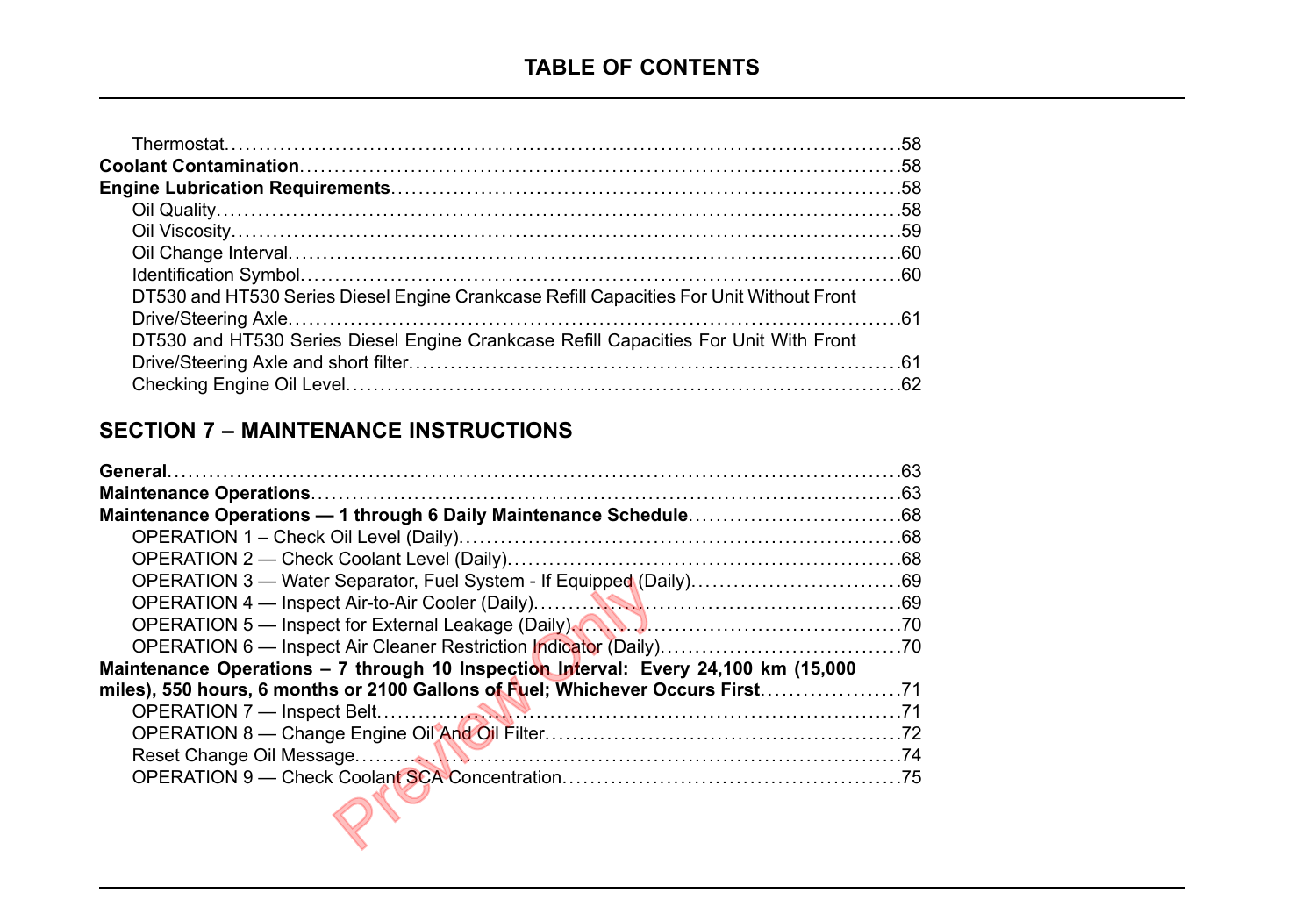| DT530 and HT530 Series Diesel Engine Crankcase Refill Capacities For Unit Without Front |  |
|-----------------------------------------------------------------------------------------|--|
|                                                                                         |  |
| DT530 and HT530 Series Diesel Engine Crankcase Refill Capacities For Unit With Front    |  |
|                                                                                         |  |
|                                                                                         |  |

#### **SECTION 7 – MAINTENANCE INSTRUCTIONS**

| Maintenance Operations - 7 through 10 Inspection Interval: Every 24,100 km (15,000 |  |
|------------------------------------------------------------------------------------|--|
| miles), 550 hours, 6 months or 2100 Gallons of Fuel; Whichever Occurs First71      |  |
|                                                                                    |  |
|                                                                                    |  |
|                                                                                    |  |
|                                                                                    |  |
|                                                                                    |  |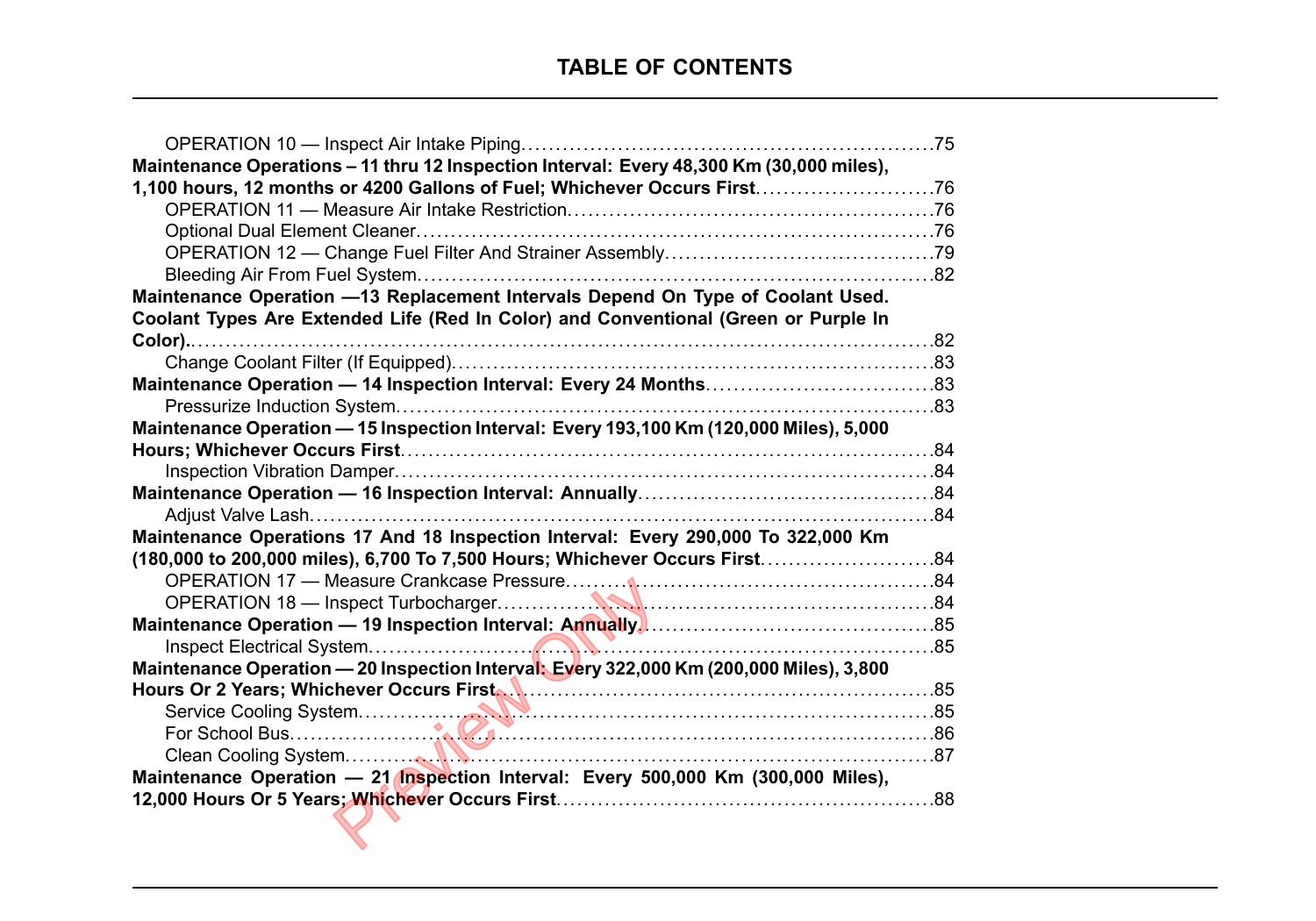|                                                                                          | . 75 |
|------------------------------------------------------------------------------------------|------|
| Maintenance Operations - 11 thru 12 Inspection Interval: Every 48,300 Km (30,000 miles), |      |
| 1,100 hours, 12 months or 4200 Gallons of Fuel; Whichever Occurs First                   |      |
|                                                                                          |      |
|                                                                                          |      |
|                                                                                          |      |
|                                                                                          |      |
| Maintenance Operation -13 Replacement Intervals Depend On Type of Coolant Used.          |      |
| Coolant Types Are Extended Life (Red In Color) and Conventional (Green or Purple In      |      |
|                                                                                          |      |
|                                                                                          |      |
|                                                                                          |      |
|                                                                                          |      |
| Maintenance Operation - 15 Inspection Interval: Every 193,100 Km (120,000 Miles), 5,000  |      |
|                                                                                          |      |
|                                                                                          |      |
|                                                                                          |      |
|                                                                                          |      |
| Maintenance Operations 17 And 18 Inspection Interval: Every 290,000 To 322,000 Km        |      |
|                                                                                          |      |
|                                                                                          |      |
|                                                                                          |      |
|                                                                                          |      |
|                                                                                          |      |
| Maintenance Operation - 20 Inspection Interval: Every 322,000 Km (200,000 Miles), 3,800  |      |
|                                                                                          |      |
|                                                                                          |      |
|                                                                                          |      |
|                                                                                          |      |
| Maintenance Operation - 21 Inspection Interval: Every 500,000 Km (300,000 Miles),        |      |
|                                                                                          | .88  |
|                                                                                          |      |
|                                                                                          |      |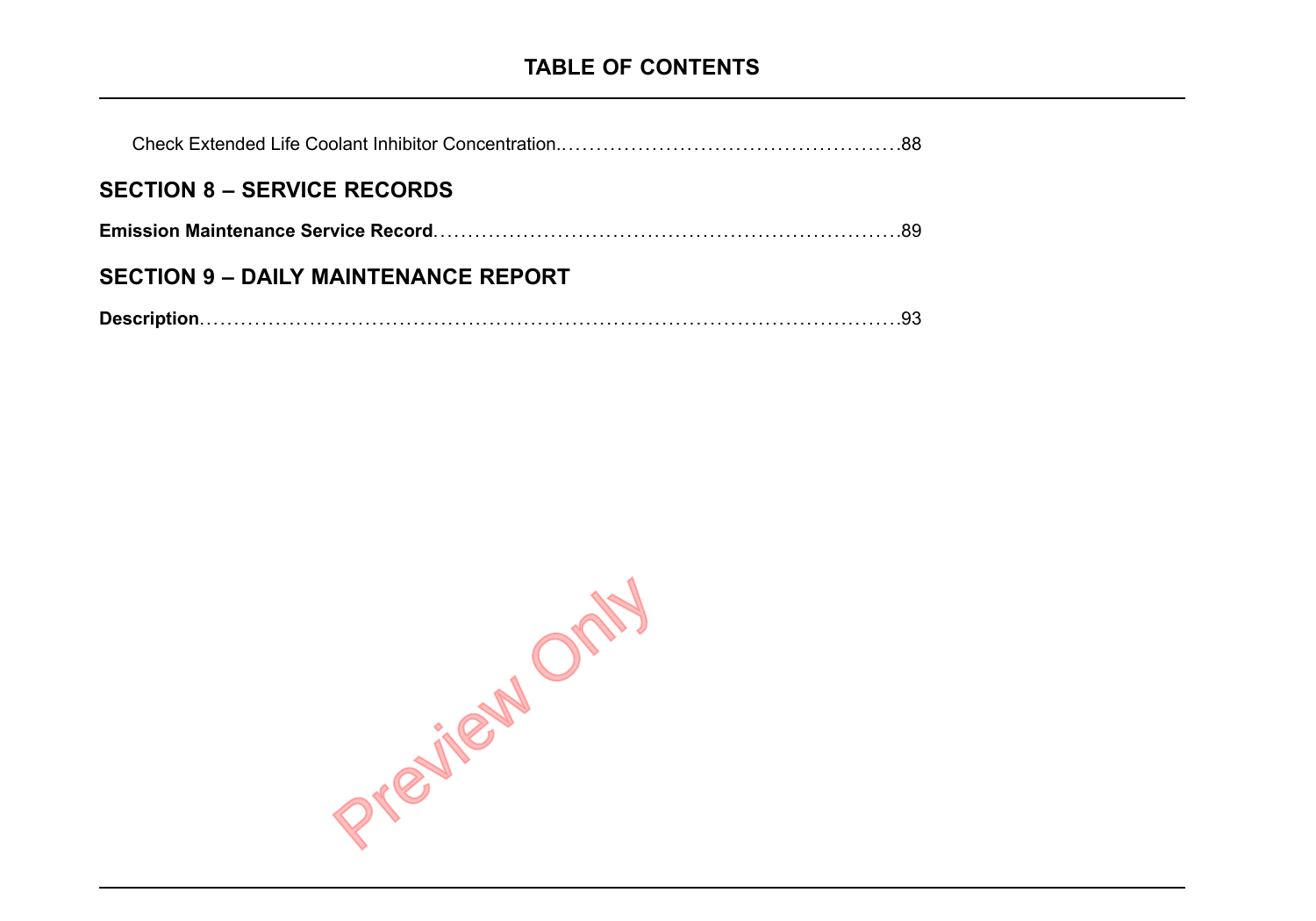| <b>SECTION 8 – SERVICE RECORDS</b>          |  |
|---------------------------------------------|--|
|                                             |  |
| <b>SECTION 9 - DAILY MAINTENANCE REPORT</b> |  |
|                                             |  |

Prejiew Only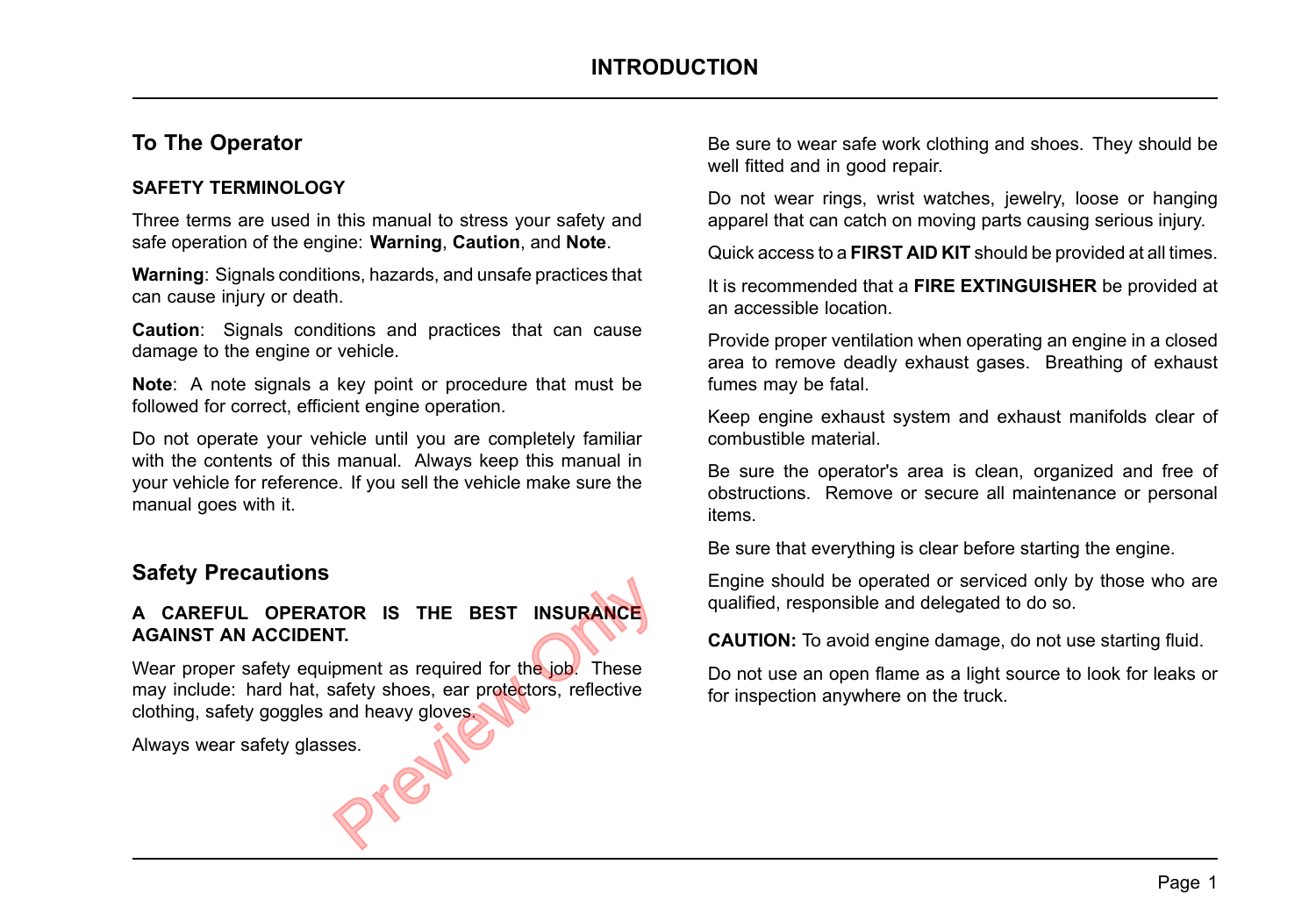#### **To The Operator**

#### **SAFETY TERMINOLOGY**

Three terms are used in this manual to stress your safety and safe operation of the engine: **Warning**, **Caution**, and **Note**.

**Warning**: Signals conditions, hazards, and unsafe practices that can cause injury or death.

**Caution**: Signals conditions and practices that can cause damage to the engine or vehicle.

**Note**: A note signals <sup>a</sup> key point or procedure that must be followed for correct, efficient engine operation.

Do not operate your vehicle until you are completely familiar with the contents of this manual. Always keep this manual in your vehicle for reference. If you sell the vehicle make sure the manual goes with it.

#### **Safety Precautions**

#### **A CAREFUL OPERATOR IS THE BEST INSURANCE AGAINST AN ACCIDENT.**

Wear proper safety equipment as required for the job. These may include: hard hat, safety shoes, ear protectors, reflective clothing, safety goggles and heavy gloves. FOR IS THE BEST INSURANCE<br>IT.<br>pment as required for the job. These<br>safety shoes, ear protectors, reflective<br>and heavy gloves.<br>ses.

Always wear safety glasses.

Be sure to wear safe work clothing and shoes. They should be well fitted and in good repair.

Do not wear rings, wrist watches, jewelry, loose or hanging apparel that can catch on moving parts causing serious injury.

Quick access to <sup>a</sup> **FIRST AID KIT** should be provided at all times.

It is recommended that <sup>a</sup> **FIRE EXTINGUISHER** be provided at an accessible location.

Provide proper ventilation when operating an engine in <sup>a</sup> closed area to remove deadly exhaust gases. Breathing of exhaust fumes may be fatal.

Keep engine exhaust system and exhaust manifolds clear of combustible material.

Be sure the operator's area is clean, organized and free of obstructions. Remove or secure all maintenance or personal items.

Be sure that everything is clear before starting the engine.

Engine should be operated or serviced only by those who are qualified, responsible and delegated to do so.

**CAUTION:** To avoid engine damage, do not use starting fluid.

Do not use an open flame as <sup>a</sup> light source to look for leaks or for inspection anywhere on the truck.